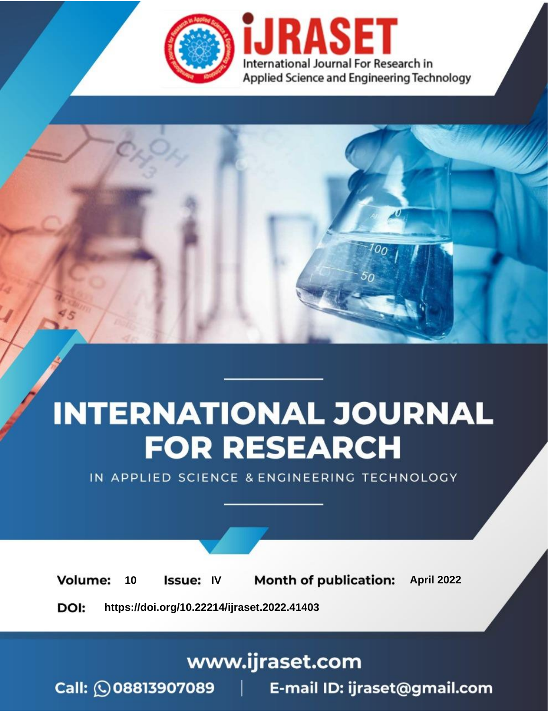

# **INTERNATIONAL JOURNAL FOR RESEARCH**

IN APPLIED SCIENCE & ENGINEERING TECHNOLOGY

10 **Issue: IV Month of publication:** April 2022 **Volume:** 

**https://doi.org/10.22214/ijraset.2022.41403**DOI:

www.ijraset.com

Call: 008813907089 | E-mail ID: ijraset@gmail.com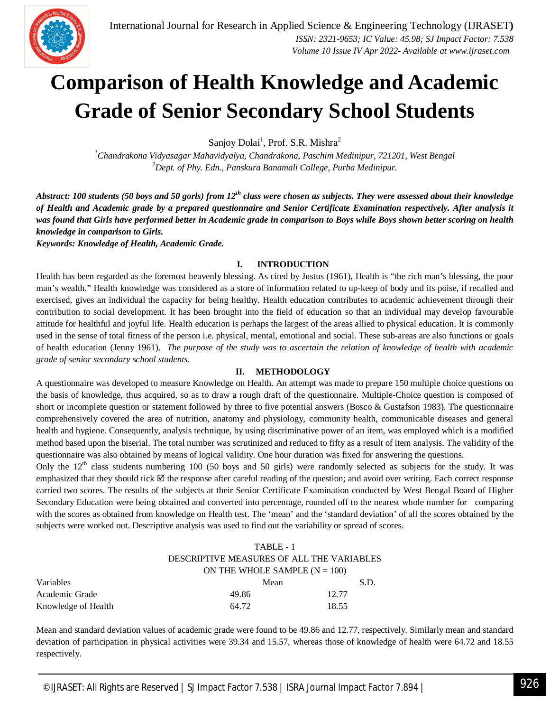

### **Comparison of Health Knowledge and Academic Grade of Senior Secondary School Students**

Sanjoy Dolai<sup>1</sup>, Prof. S.R. Mishra<sup>2</sup>

*<sup>1</sup>Chandrakona Vidyasagar Mahavidyalya, Chandrakona, Paschim Medinipur, 721201, West Bengal <sup>2</sup>Dept. of Phy. Edn., Panskura Banamali College, Purba Medinipur.*

*Abstract: 100 students (50 boys and 50 gorls) from 12th class were chosen as subjects. They were assessed about their knowledge of Health and Academic grade by a prepared questionnaire and Senior Certificate Examination respectively. After analysis it was found that Girls have performed better in Academic grade in comparison to Boys while Boys shown better scoring on health knowledge in comparison to Girls.*

*Keywords: Knowledge of Health, Academic Grade.*

#### **I. INTRODUCTION**

Health has been regarded as the foremost heavenly blessing. As cited by Justus (1961), Health is "the rich man's blessing, the poor man's wealth." Health knowledge was considered as a store of information related to up-keep of body and its poise, if recalled and exercised, gives an individual the capacity for being healthy. Health education contributes to academic achievement through their contribution to social development. It has been brought into the field of education so that an individual may develop favourable attitude for healthful and joyful life. Health education is perhaps the largest of the areas allied to physical education. It is commonly used in the sense of total fitness of the person i.e. physical, mental, emotional and social. These sub-areas are also functions or goals of health education (Jenny 1961). *The purpose of the study was to ascertain the relation of knowledge of health with academic grade of senior secondary school students.*

#### **II. METHODOLOGY**

A questionnaire was developed to measure Knowledge on Health. An attempt was made to prepare 150 multiple choice questions on the basis of knowledge, thus acquired, so as to draw a rough draft of the questionnaire. Multiple-Choice question is composed of short or incomplete question or statement followed by three to five potential answers (Bosco & Gustafson 1983). The questionnaire comprehensively covered the area of nutrition, anatomy and physiology, community health, communicable diseases and general health and hygiene. Consequently, analysis technique, by using discriminative power of an item, was employed which is a modified method based upon the biserial. The total number was scrutinized and reduced to fifty as a result of item analysis. The validity of the questionnaire was also obtained by means of logical validity. One hour duration was fixed for answering the questions.

Only the  $12<sup>th</sup>$  class students numbering 100 (50 boys and 50 girls) were randomly selected as subjects for the study. It was emphasized that they should tick  $\boxtimes$  the response after careful reading of the question; and avoid over writing. Each correct response carried two scores. The results of the subjects at their Senior Certificate Examination conducted by West Bengal Board of Higher Secondary Education were being obtained and converted into percentage, rounded off to the nearest whole number for comparing with the scores as obtained from knowledge on Health test. The 'mean' and the 'standard deviation' of all the scores obtained by the subjects were worked out. Descriptive analysis was used to find out the variability or spread of scores.

|                     | TABLE - 1                       |                                           |  |  |
|---------------------|---------------------------------|-------------------------------------------|--|--|
|                     |                                 | DESCRIPTIVE MEASURES OF ALL THE VARIABLES |  |  |
|                     | ON THE WHOLE SAMPLE $(N = 100)$ |                                           |  |  |
| Variables           | Mean                            | S.D.                                      |  |  |
| Academic Grade      | 49.86                           | 12.77                                     |  |  |
| Knowledge of Health | 64.72                           | 18.55                                     |  |  |

Mean and standard deviation values of academic grade were found to be 49.86 and 12.77, respectively. Similarly mean and standard deviation of participation in physical activities were 39.34 and 15.57, whereas those of knowledge of health were 64.72 and 18.55 respectively.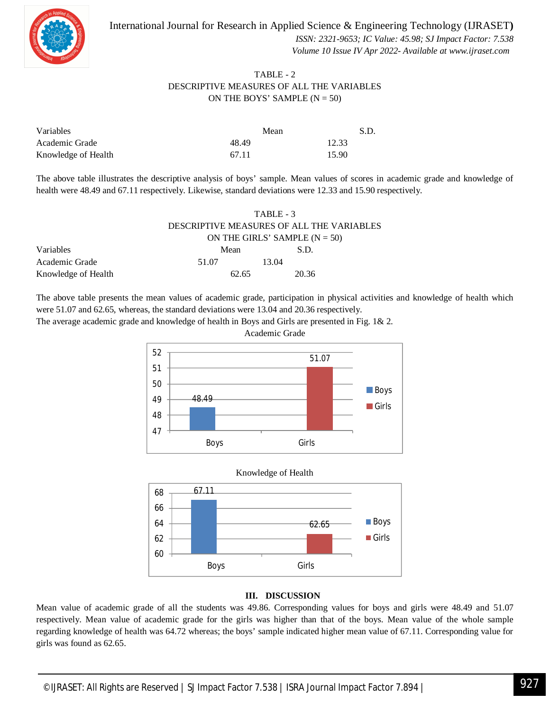



 *ISSN: 2321-9653; IC Value: 45.98; SJ Impact Factor: 7.538 Volume 10 Issue IV Apr 2022- Available at www.ijraset.com*

#### TABLE - 2 DESCRIPTIVE MEASURES OF ALL THE VARIABLES ON THE BOYS' SAMPLE  $(N = 50)$

| Variables           | Mean  | S.D.  |
|---------------------|-------|-------|
| Academic Grade      | 48.49 | 12.33 |
| Knowledge of Health | 67.11 | 15.90 |

The above table illustrates the descriptive analysis of boys' sample. Mean values of scores in academic grade and knowledge of health were 48.49 and 67.11 respectively. Likewise, standard deviations were 12.33 and 15.90 respectively.

|                     | TABLE - 3<br>DESCRIPTIVE MEASURES OF ALL THE VARIABLES<br>ON THE GIRLS' SAMPLE $(N = 50)$ |       |  |
|---------------------|-------------------------------------------------------------------------------------------|-------|--|
|                     |                                                                                           |       |  |
|                     |                                                                                           |       |  |
| Variables           | Mean                                                                                      | S.D.  |  |
| Academic Grade      | 51.07                                                                                     | 13.04 |  |
| Knowledge of Health | 62.65                                                                                     | 20.36 |  |

The above table presents the mean values of academic grade, participation in physical activities and knowledge of health which were 51.07 and 62.65, whereas, the standard deviations were 13.04 and 20.36 respectively.

The average academic grade and knowledge of health in Boys and Girls are presented in Fig. 1& 2.







#### **III. DISCUSSION**

Mean value of academic grade of all the students was 49.86. Corresponding values for boys and girls were 48.49 and 51.07 respectively. Mean value of academic grade for the girls was higher than that of the boys. Mean value of the whole sample regarding knowledge of health was 64.72 whereas; the boys' sample indicated higher mean value of 67.11. Corresponding value for girls was found as 62.65.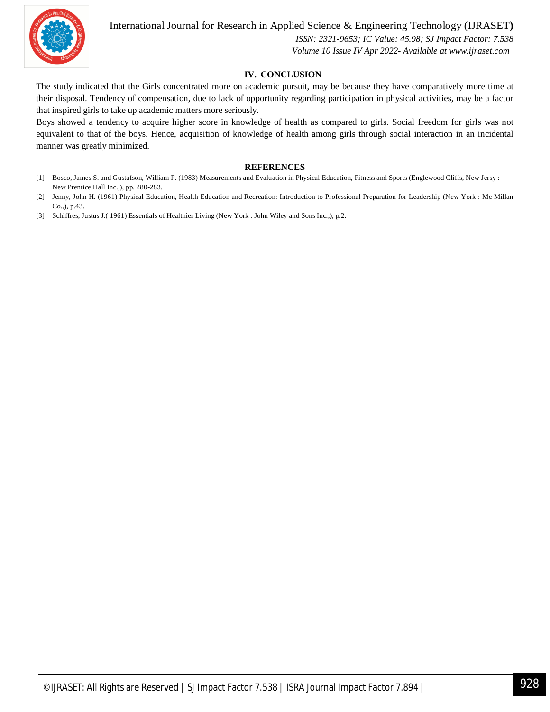

#### International Journal for Research in Applied Science & Engineering Technology (IJRASET**)**

 *ISSN: 2321-9653; IC Value: 45.98; SJ Impact Factor: 7.538 Volume 10 Issue IV Apr 2022- Available at www.ijraset.com*

#### **IV. CONCLUSION**

The study indicated that the Girls concentrated more on academic pursuit, may be because they have comparatively more time at their disposal. Tendency of compensation, due to lack of opportunity regarding participation in physical activities, may be a factor that inspired girls to take up academic matters more seriously.

Boys showed a tendency to acquire higher score in knowledge of health as compared to girls. Social freedom for girls was not equivalent to that of the boys. Hence, acquisition of knowledge of health among girls through social interaction in an incidental manner was greatly minimized.

#### **REFERENCES**

- [1] Bosco, James S. and Gustafson, William F. (1983) Measurements and Evaluation in Physical Education, Fitness and Sports (Englewood Cliffs, New Jersy : New Prentice Hall Inc.,), pp. 280-283.
- [2] Jenny, John H. (1961) Physical Education, Health Education and Recreation: Introduction to Professional Preparation for Leadership (New York : Mc Millan Co.,), p.43.

[3] Schiffres, Justus J.( 1961) Essentials of Healthier Living (New York : John Wiley and Sons Inc.,), p.2.